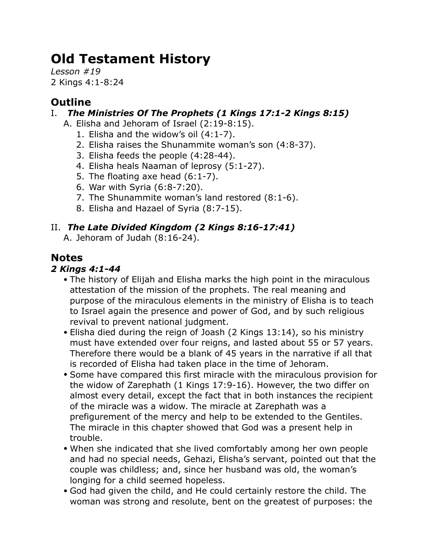# **Old Testament History**

*Lesson #19* 2 Kings 4:1-8:24

## **Outline**

### I. *The Ministries Of The Prophets (1 Kings 17:1-2 Kings 8:15)*

- A. Elisha and Jehoram of Israel (2:19-8:15).
	- 1. Elisha and the widow's oil (4:1-7).
	- 2. Elisha raises the Shunammite woman's son (4:8-37).
	- 3. Elisha feeds the people (4:28-44).
	- 4. Elisha heals Naaman of leprosy (5:1-27).
	- 5. The floating axe head (6:1-7).
	- 6. War with Syria (6:8-7:20).
	- 7. The Shunammite woman's land restored (8:1-6).
	- 8. Elisha and Hazael of Syria (8:7-15).

## II. *The Late Divided Kingdom (2 Kings 8:16-17:41)*

A. Jehoram of Judah (8:16-24).

## **Notes**

### *2 Kings 4:1-44*

- The history of Elijah and Elisha marks the high point in the miraculous attestation of the mission of the prophets. The real meaning and purpose of the miraculous elements in the ministry of Elisha is to teach to Israel again the presence and power of God, and by such religious revival to prevent national judgment.
- Elisha died during the reign of Joash (2 Kings 13:14), so his ministry must have extended over four reigns, and lasted about 55 or 57 years. Therefore there would be a blank of 45 years in the narrative if all that is recorded of Elisha had taken place in the time of Jehoram.
- Some have compared this first miracle with the miraculous provision for the widow of Zarephath (1 Kings 17:9-16). However, the two differ on almost every detail, except the fact that in both instances the recipient of the miracle was a widow. The miracle at Zarephath was a prefigurement of the mercy and help to be extended to the Gentiles. The miracle in this chapter showed that God was a present help in trouble.
- When she indicated that she lived comfortably among her own people and had no special needs, Gehazi, Elisha's servant, pointed out that the couple was childless; and, since her husband was old, the woman's longing for a child seemed hopeless.
- God had given the child, and He could certainly restore the child. The woman was strong and resolute, bent on the greatest of purposes: the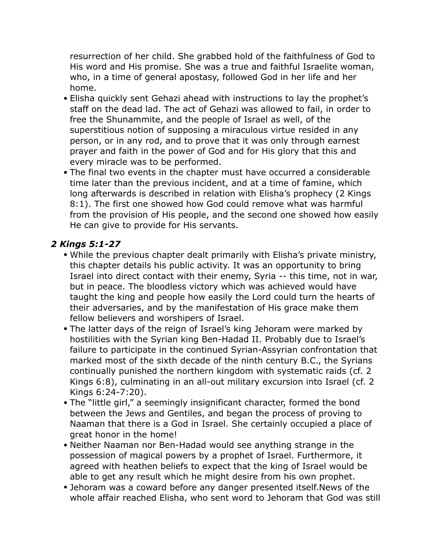resurrection of her child. She grabbed hold of the faithfulness of God to His word and His promise. She was a true and faithful Israelite woman, who, in a time of general apostasy, followed God in her life and her home.

- Elisha quickly sent Gehazi ahead with instructions to lay the prophet's staff on the dead lad. The act of Gehazi was allowed to fail, in order to free the Shunammite, and the people of Israel as well, of the superstitious notion of supposing a miraculous virtue resided in any person, or in any rod, and to prove that it was only through earnest prayer and faith in the power of God and for His glory that this and every miracle was to be performed.
- The final two events in the chapter must have occurred a considerable time later than the previous incident, and at a time of famine, which long afterwards is described in relation with Elisha's prophecy (2 Kings 8:1). The first one showed how God could remove what was harmful from the provision of His people, and the second one showed how easily He can give to provide for His servants.

#### *2 Kings 5:1-27*

- While the previous chapter dealt primarily with Elisha's private ministry, this chapter details his public activity. It was an opportunity to bring Israel into direct contact with their enemy, Syria -- this time, not in war, but in peace. The bloodless victory which was achieved would have taught the king and people how easily the Lord could turn the hearts of their adversaries, and by the manifestation of His grace make them fellow believers and worshipers of Israel.
- The latter days of the reign of Israel's king Jehoram were marked by hostilities with the Syrian king Ben-Hadad II. Probably due to Israel's failure to participate in the continued Syrian-Assyrian confrontation that marked most of the sixth decade of the ninth century B.C., the Syrians continually punished the northern kingdom with systematic raids (cf. 2 Kings 6:8), culminating in an all-out military excursion into Israel (cf. 2 Kings 6:24-7:20).
- The "little girl," a seemingly insignificant character, formed the bond between the Jews and Gentiles, and began the process of proving to Naaman that there is a God in Israel. She certainly occupied a place of great honor in the home!
- Neither Naaman nor Ben-Hadad would see anything strange in the possession of magical powers by a prophet of Israel. Furthermore, it agreed with heathen beliefs to expect that the king of Israel would be able to get any result which he might desire from his own prophet.
- Jehoram was a coward before any danger presented itself.News of the whole affair reached Elisha, who sent word to Jehoram that God was still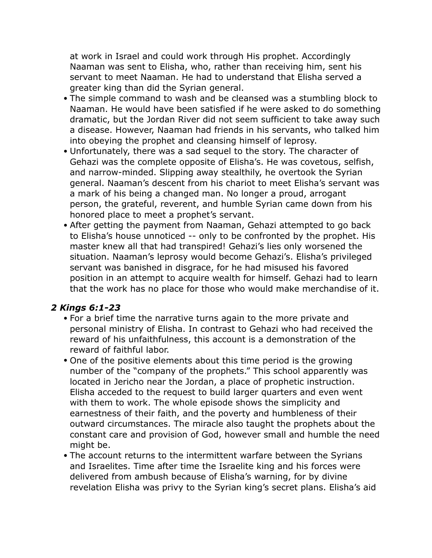at work in Israel and could work through His prophet. Accordingly Naaman was sent to Elisha, who, rather than receiving him, sent his servant to meet Naaman. He had to understand that Elisha served a greater king than did the Syrian general.

- The simple command to wash and be cleansed was a stumbling block to Naaman. He would have been satisfied if he were asked to do something dramatic, but the Jordan River did not seem sufficient to take away such a disease. However, Naaman had friends in his servants, who talked him into obeying the prophet and cleansing himself of leprosy.
- Unfortunately, there was a sad sequel to the story. The character of Gehazi was the complete opposite of Elisha's. He was covetous, selfish, and narrow-minded. Slipping away stealthily, he overtook the Syrian general. Naaman's descent from his chariot to meet Elisha's servant was a mark of his being a changed man. No longer a proud, arrogant person, the grateful, reverent, and humble Syrian came down from his honored place to meet a prophet's servant.
- After getting the payment from Naaman, Gehazi attempted to go back to Elisha's house unnoticed -- only to be confronted by the prophet. His master knew all that had transpired! Gehazi's lies only worsened the situation. Naaman's leprosy would become Gehazi's. Elisha's privileged servant was banished in disgrace, for he had misused his favored position in an attempt to acquire wealth for himself. Gehazi had to learn that the work has no place for those who would make merchandise of it.

#### *2 Kings 6:1-23*

- For a brief time the narrative turns again to the more private and personal ministry of Elisha. In contrast to Gehazi who had received the reward of his unfaithfulness, this account is a demonstration of the reward of faithful labor.
- One of the positive elements about this time period is the growing number of the "company of the prophets." This school apparently was located in Jericho near the Jordan, a place of prophetic instruction. Elisha acceded to the request to build larger quarters and even went with them to work. The whole episode shows the simplicity and earnestness of their faith, and the poverty and humbleness of their outward circumstances. The miracle also taught the prophets about the constant care and provision of God, however small and humble the need might be.
- The account returns to the intermittent warfare between the Syrians and Israelites. Time after time the Israelite king and his forces were delivered from ambush because of Elisha's warning, for by divine revelation Elisha was privy to the Syrian king's secret plans. Elisha's aid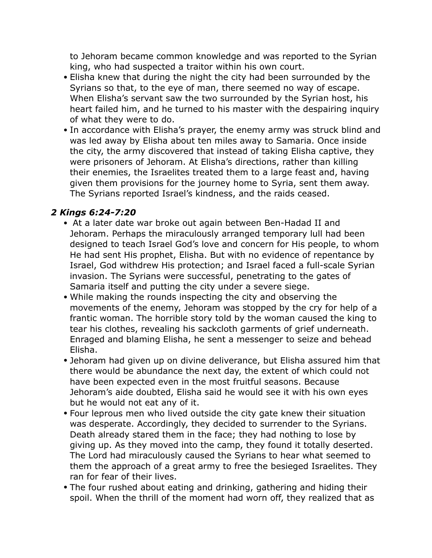to Jehoram became common knowledge and was reported to the Syrian king, who had suspected a traitor within his own court.

- Elisha knew that during the night the city had been surrounded by the Syrians so that, to the eye of man, there seemed no way of escape. When Elisha's servant saw the two surrounded by the Syrian host, his heart failed him, and he turned to his master with the despairing inquiry of what they were to do.
- In accordance with Elisha's prayer, the enemy army was struck blind and was led away by Elisha about ten miles away to Samaria. Once inside the city, the army discovered that instead of taking Elisha captive, they were prisoners of Jehoram. At Elisha's directions, rather than killing their enemies, the Israelites treated them to a large feast and, having given them provisions for the journey home to Syria, sent them away. The Syrians reported Israel's kindness, and the raids ceased.

#### *2 Kings 6:24-7:20*

- At a later date war broke out again between Ben-Hadad II and Jehoram. Perhaps the miraculously arranged temporary lull had been designed to teach Israel God's love and concern for His people, to whom He had sent His prophet, Elisha. But with no evidence of repentance by Israel, God withdrew His protection; and Israel faced a full-scale Syrian invasion. The Syrians were successful, penetrating to the gates of Samaria itself and putting the city under a severe siege.
- While making the rounds inspecting the city and observing the movements of the enemy, Jehoram was stopped by the cry for help of a frantic woman. The horrible story told by the woman caused the king to tear his clothes, revealing his sackcloth garments of grief underneath. Enraged and blaming Elisha, he sent a messenger to seize and behead Elisha.
- Jehoram had given up on divine deliverance, but Elisha assured him that there would be abundance the next day, the extent of which could not have been expected even in the most fruitful seasons. Because Jehoram's aide doubted, Elisha said he would see it with his own eyes but he would not eat any of it.
- Four leprous men who lived outside the city gate knew their situation was desperate. Accordingly, they decided to surrender to the Syrians. Death already stared them in the face; they had nothing to lose by giving up. As they moved into the camp, they found it totally deserted. The Lord had miraculously caused the Syrians to hear what seemed to them the approach of a great army to free the besieged Israelites. They ran for fear of their lives.
- The four rushed about eating and drinking, gathering and hiding their spoil. When the thrill of the moment had worn off, they realized that as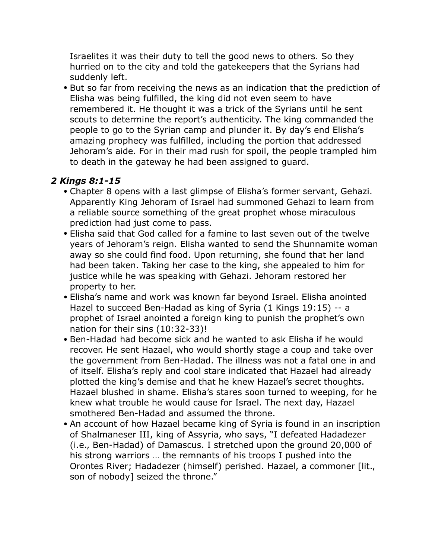Israelites it was their duty to tell the good news to others. So they hurried on to the city and told the gatekeepers that the Syrians had suddenly left.

• But so far from receiving the news as an indication that the prediction of Elisha was being fulfilled, the king did not even seem to have remembered it. He thought it was a trick of the Syrians until he sent scouts to determine the report's authenticity. The king commanded the people to go to the Syrian camp and plunder it. By day's end Elisha's amazing prophecy was fulfilled, including the portion that addressed Jehoram's aide. For in their mad rush for spoil, the people trampled him to death in the gateway he had been assigned to guard.

#### *2 Kings 8:1-15*

- Chapter 8 opens with a last glimpse of Elisha's former servant, Gehazi. Apparently King Jehoram of Israel had summoned Gehazi to learn from a reliable source something of the great prophet whose miraculous prediction had just come to pass.
- Elisha said that God called for a famine to last seven out of the twelve years of Jehoram's reign. Elisha wanted to send the Shunnamite woman away so she could find food. Upon returning, she found that her land had been taken. Taking her case to the king, she appealed to him for justice while he was speaking with Gehazi. Jehoram restored her property to her.
- Elisha's name and work was known far beyond Israel. Elisha anointed Hazel to succeed Ben-Hadad as king of Syria (1 Kings 19:15) -- a prophet of Israel anointed a foreign king to punish the prophet's own nation for their sins (10:32-33)!
- Ben-Hadad had become sick and he wanted to ask Elisha if he would recover. He sent Hazael, who would shortly stage a coup and take over the government from Ben-Hadad. The illness was not a fatal one in and of itself. Elisha's reply and cool stare indicated that Hazael had already plotted the king's demise and that he knew Hazael's secret thoughts. Hazael blushed in shame. Elisha's stares soon turned to weeping, for he knew what trouble he would cause for Israel. The next day, Hazael smothered Ben-Hadad and assumed the throne.
- An account of how Hazael became king of Syria is found in an inscription of Shalmaneser III, king of Assyria, who says, "I defeated Hadadezer (i.e., Ben-Hadad) of Damascus. I stretched upon the ground 20,000 of his strong warriors … the remnants of his troops I pushed into the Orontes River; Hadadezer (himself) perished. Hazael, a commoner [lit., son of nobody] seized the throne."